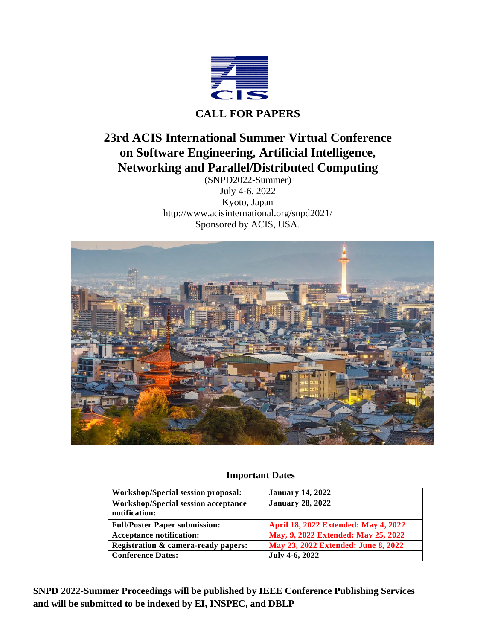

# **23rd ACIS International Summer Virtual Conference on Software Engineering, Artificial Intelligence, Networking and Parallel/Distributed Computing**

(SNPD2022-Summer) July 4-6, 2022 Kyoto, Japan [http://www.acisinternational.org/snpd2021/](http://www.acisinternational.org/snpd2019/) Sponsored by ACIS, USA.



# **Important Dates**

| Workshop/Special session proposal:                          | <b>January 14, 2022</b>                     |
|-------------------------------------------------------------|---------------------------------------------|
| <b>Workshop/Special session acceptance</b><br>notification: | <b>January 28, 2022</b>                     |
| <b>Full/Poster Paper submission:</b>                        | <b>April 18, 2022 Extended: May 4, 2022</b> |
| <b>Acceptance notification:</b>                             | May, 9, 2022 Extended: May 25, 2022         |
| Registration & camera-ready papers:                         | <b>May 23, 2022 Extended: June 8, 2022</b>  |
| <b>Conference Dates:</b>                                    | July 4-6, 2022                              |

**SNPD 2022-Summer Proceedings will be published by IEEE Conference Publishing Services and will be submitted to be indexed by EI, INSPEC, and DBLP**